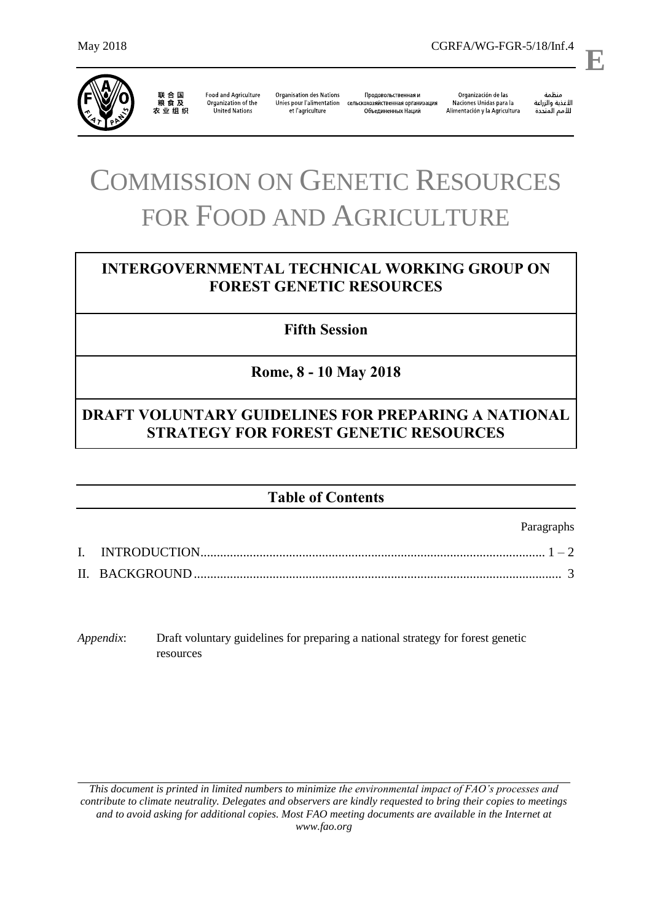

联合国<br>粮食及 

**Food and Agriculture** Organization of the United Nations

**Organisation des Nations** Продовольственная и Unies pour l'alimentation сельскохозяйственная организация et l'agriculture Объединенных Наций

Organización de las Naciones Unidas para la Alimentación y la Agricultura

منظمة ستنسه<br>الأغذية والزراعة<br>للأمم المتددة

l,

**E**

# COMMISSION ON GENETIC RESOURCES FOR FOOD AND AGRICULTURE

# **INTERGOVERNMENTAL TECHNICAL WORKING GROUP ON FOREST GENETIC RESOURCES**

**Fifth Session**

**Rome, 8 - 10 May 2018**

# **DRAFT VOLUNTARY GUIDELINES FOR PREPARING A NATIONAL STRATEGY FOR FOREST GENETIC RESOURCES**

# **Table of Contents**

Paragraphs

*Appendix*: Draft voluntary guidelines for preparing a national strategy for forest genetic resources

*This document is printed in limited numbers to minimize the environmental impact of FAO's processes and contribute to climate neutrality. Delegates and observers are kindly requested to bring their copies to meetings and to avoid asking for additional copies. Most FAO meeting documents are available in the Internet at www.fao.org*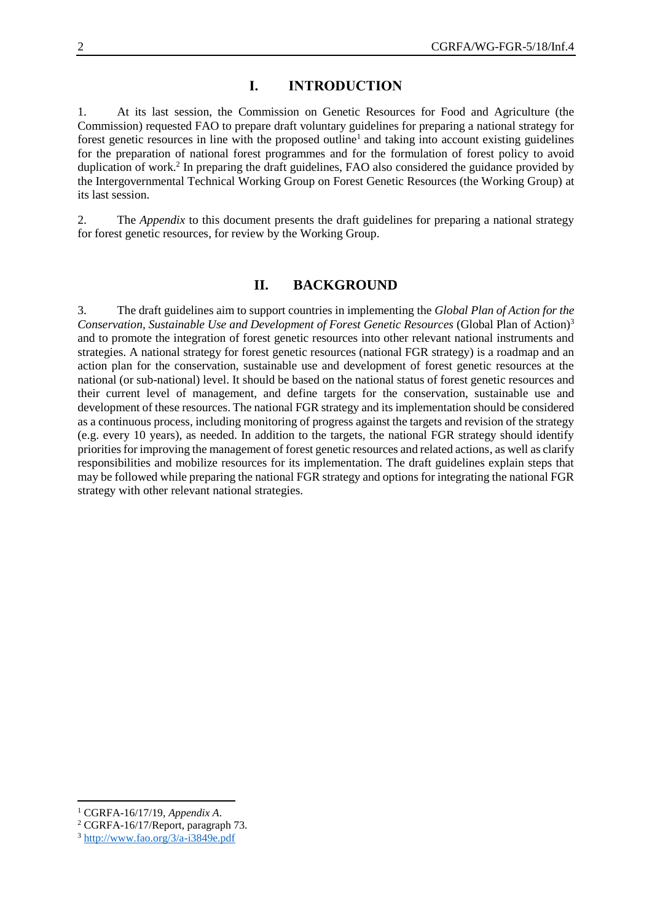# **I. INTRODUCTION**

1. At its last session, the Commission on Genetic Resources for Food and Agriculture (the Commission) requested FAO to prepare draft voluntary guidelines for preparing a national strategy for forest genetic resources in line with the proposed outline<sup>1</sup> and taking into account existing guidelines for the preparation of national forest programmes and for the formulation of forest policy to avoid duplication of work.<sup>2</sup> In preparing the draft guidelines, FAO also considered the guidance provided by the Intergovernmental Technical Working Group on Forest Genetic Resources (the Working Group) at its last session.

2. The *Appendix* to this document presents the draft guidelines for preparing a national strategy for forest genetic resources, for review by the Working Group.

## **II. BACKGROUND**

3. The draft guidelines aim to support countries in implementing the *Global Plan of Action for the Conservation, Sustainable Use and Development of Forest Genetic Resources* (Global Plan of Action)<sup>3</sup> and to promote the integration of forest genetic resources into other relevant national instruments and strategies. A national strategy for forest genetic resources (national FGR strategy) is a roadmap and an action plan for the conservation, sustainable use and development of forest genetic resources at the national (or sub-national) level. It should be based on the national status of forest genetic resources and their current level of management, and define targets for the conservation, sustainable use and development of these resources. The national FGR strategy and its implementation should be considered as a continuous process, including monitoring of progress against the targets and revision of the strategy (e.g. every 10 years), as needed. In addition to the targets, the national FGR strategy should identify priorities for improving the management of forest genetic resources and related actions, as well as clarify responsibilities and mobilize resources for its implementation. The draft guidelines explain steps that may be followed while preparing the national FGR strategy and options for integrating the national FGR strategy with other relevant national strategies.

l

<sup>1</sup> CGRFA-16/17/19, *Appendix A*.

<sup>2</sup> CGRFA-16/17/Report, paragraph 73.

<sup>3</sup> <http://www.fao.org/3/a-i3849e.pdf>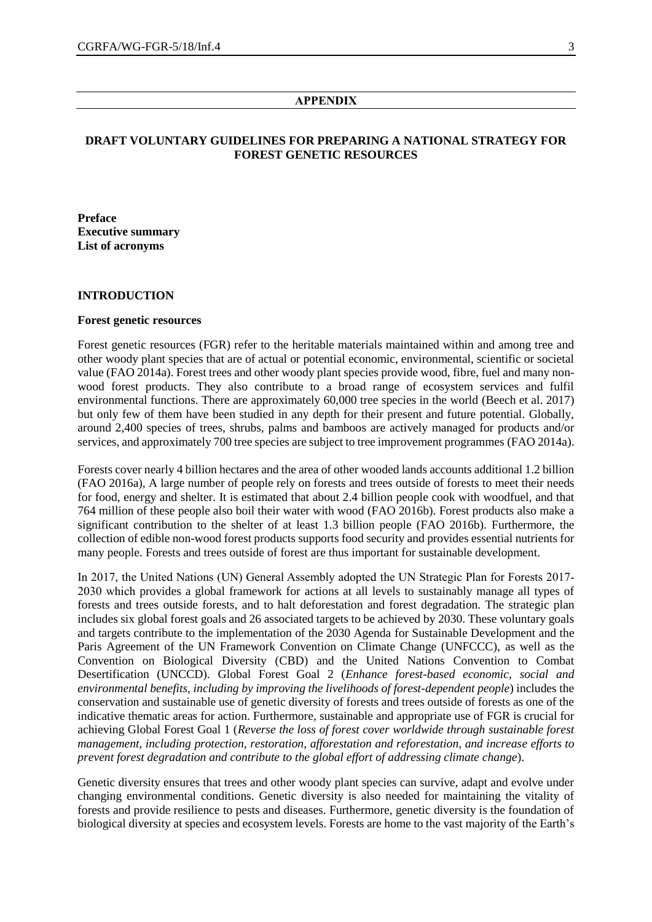#### **APPENDIX**

## **DRAFT VOLUNTARY GUIDELINES FOR PREPARING A NATIONAL STRATEGY FOR FOREST GENETIC RESOURCES**

**Preface Executive summary List of acronyms**

#### **INTRODUCTION**

#### **Forest genetic resources**

Forest genetic resources (FGR) refer to the heritable materials maintained within and among tree and other woody plant species that are of actual or potential economic, environmental, scientific or societal value (FAO 2014a). Forest trees and other woody plant species provide wood, fibre, fuel and many nonwood forest products. They also contribute to a broad range of ecosystem services and fulfil environmental functions. There are approximately 60,000 tree species in the world (Beech et al. 2017) but only few of them have been studied in any depth for their present and future potential. Globally, around 2,400 species of trees, shrubs, palms and bamboos are actively managed for products and/or services, and approximately 700 tree species are subject to tree improvement programmes (FAO 2014a).

Forests cover nearly 4 billion hectares and the area of other wooded lands accounts additional 1.2 billion (FAO 2016a), A large number of people rely on forests and trees outside of forests to meet their needs for food, energy and shelter. It is estimated that about 2.4 billion people cook with woodfuel, and that 764 million of these people also boil their water with wood (FAO 2016b). Forest products also make a significant contribution to the shelter of at least 1.3 billion people (FAO 2016b). Furthermore, the collection of edible non-wood forest products supports food security and provides essential nutrients for many people. Forests and trees outside of forest are thus important for sustainable development.

In 2017, the United Nations (UN) General Assembly adopted the UN Strategic Plan for Forests 2017- 2030 which provides a global framework for actions at all levels to sustainably manage all types of forests and trees outside forests, and to halt deforestation and forest degradation. The strategic plan includes six global forest goals and 26 associated targets to be achieved by 2030. These voluntary goals and targets contribute to the implementation of the 2030 Agenda for Sustainable Development and the Paris Agreement of the UN Framework Convention on Climate Change (UNFCCC), as well as the Convention on Biological Diversity (CBD) and the United Nations Convention to Combat Desertification (UNCCD). Global Forest Goal 2 (*Enhance forest-based economic, social and environmental benefits, including by improving the livelihoods of forest-dependent people*) includes the conservation and sustainable use of genetic diversity of forests and trees outside of forests as one of the indicative thematic areas for action. Furthermore, sustainable and appropriate use of FGR is crucial for achieving Global Forest Goal 1 (*Reverse the loss of forest cover worldwide through sustainable forest management, including protection, restoration, afforestation and reforestation, and increase efforts to prevent forest degradation and contribute to the global effort of addressing climate change*).

Genetic diversity ensures that trees and other woody plant species can survive, adapt and evolve under changing environmental conditions. Genetic diversity is also needed for maintaining the vitality of forests and provide resilience to pests and diseases. Furthermore, genetic diversity is the foundation of biological diversity at species and ecosystem levels. Forests are home to the vast majority of the Earth's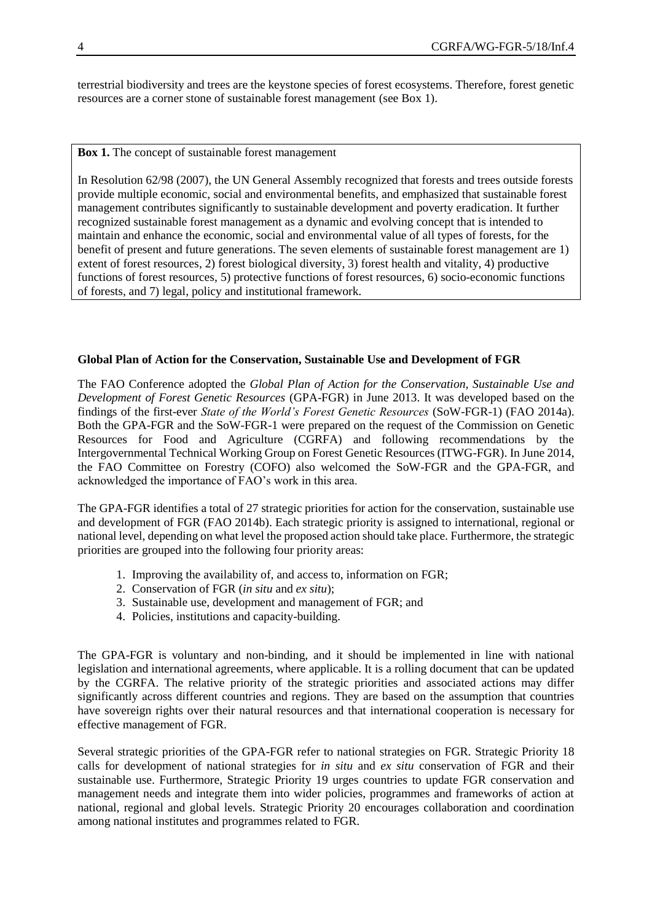terrestrial biodiversity and trees are the keystone species of forest ecosystems. Therefore, forest genetic resources are a corner stone of sustainable forest management (see Box 1).

**Box 1.** The concept of sustainable forest management

In Resolution 62/98 (2007), the UN General Assembly recognized that forests and trees outside forests provide multiple economic, social and environmental benefits, and emphasized that sustainable forest management contributes significantly to sustainable development and poverty eradication. It further recognized sustainable forest management as a dynamic and evolving concept that is intended to maintain and enhance the economic, social and environmental value of all types of forests, for the benefit of present and future generations. The seven elements of sustainable forest management are 1) extent of forest resources, 2) forest biological diversity, 3) forest health and vitality, 4) productive functions of forest resources, 5) protective functions of forest resources, 6) socio-economic functions of forests, and 7) legal, policy and institutional framework.

#### **Global Plan of Action for the Conservation, Sustainable Use and Development of FGR**

The FAO Conference adopted the *Global Plan of Action for the Conservation, Sustainable Use and Development of Forest Genetic Resources* (GPA-FGR) in June 2013. It was developed based on the findings of the first-ever *State of the World's Forest Genetic Resources* (SoW-FGR-1) (FAO 2014a). Both the GPA-FGR and the SoW-FGR-1 were prepared on the request of the Commission on Genetic Resources for Food and Agriculture (CGRFA) and following recommendations by the Intergovernmental Technical Working Group on Forest Genetic Resources (ITWG-FGR). In June 2014, the FAO Committee on Forestry (COFO) also welcomed the SoW-FGR and the GPA-FGR, and acknowledged the importance of FAO's work in this area.

The GPA-FGR identifies a total of 27 strategic priorities for action for the conservation, sustainable use and development of FGR (FAO 2014b). Each strategic priority is assigned to international, regional or national level, depending on what level the proposed action should take place. Furthermore, the strategic priorities are grouped into the following four priority areas:

- 1. Improving the availability of, and access to, information on FGR;
- 2. Conservation of FGR (*in situ* and *ex situ*);
- 3. Sustainable use, development and management of FGR; and
- 4. Policies, institutions and capacity-building.

The GPA-FGR is voluntary and non-binding, and it should be implemented in line with national legislation and international agreements, where applicable. It is a rolling document that can be updated by the CGRFA. The relative priority of the strategic priorities and associated actions may differ significantly across different countries and regions. They are based on the assumption that countries have sovereign rights over their natural resources and that international cooperation is necessary for effective management of FGR.

Several strategic priorities of the GPA-FGR refer to national strategies on FGR. Strategic Priority 18 calls for development of national strategies for *in situ* and *ex situ* conservation of FGR and their sustainable use. Furthermore, Strategic Priority 19 urges countries to update FGR conservation and management needs and integrate them into wider policies, programmes and frameworks of action at national, regional and global levels. Strategic Priority 20 encourages collaboration and coordination among national institutes and programmes related to FGR.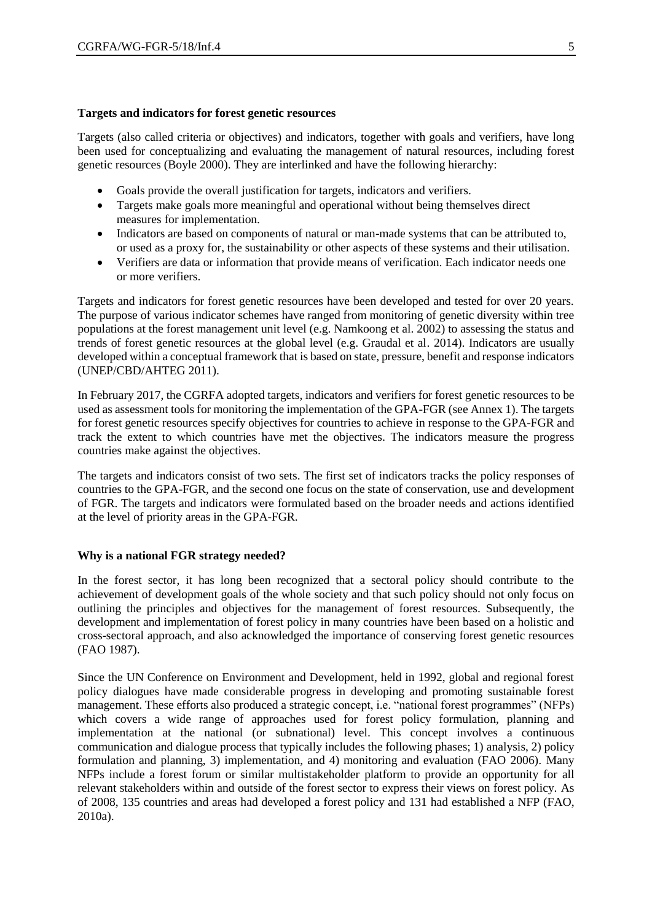#### **Targets and indicators for forest genetic resources**

Targets (also called criteria or objectives) and indicators, together with goals and verifiers, have long been used for conceptualizing and evaluating the management of natural resources, including forest genetic resources (Boyle 2000). They are interlinked and have the following hierarchy:

- Goals provide the overall justification for targets, indicators and verifiers.
- Targets make goals more meaningful and operational without being themselves direct measures for implementation.
- Indicators are based on components of natural or man-made systems that can be attributed to, or used as a proxy for, the sustainability or other aspects of these systems and their utilisation.
- Verifiers are data or information that provide means of verification. Each indicator needs one or more verifiers.

Targets and indicators for forest genetic resources have been developed and tested for over 20 years. The purpose of various indicator schemes have ranged from monitoring of genetic diversity within tree populations at the forest management unit level (e.g. Namkoong et al. 2002) to assessing the status and trends of forest genetic resources at the global level (e.g. Graudal et al. 2014). Indicators are usually developed within a conceptual framework that is based on state, pressure, benefit and response indicators (UNEP/CBD/AHTEG 2011).

In February 2017, the CGRFA adopted targets, indicators and verifiers for forest genetic resources to be used as assessment tools for monitoring the implementation of the GPA-FGR (see Annex 1). The targets for forest genetic resources specify objectives for countries to achieve in response to the GPA-FGR and track the extent to which countries have met the objectives. The indicators measure the progress countries make against the objectives.

The targets and indicators consist of two sets. The first set of indicators tracks the policy responses of countries to the GPA-FGR, and the second one focus on the state of conservation, use and development of FGR. The targets and indicators were formulated based on the broader needs and actions identified at the level of priority areas in the GPA-FGR.

#### **Why is a national FGR strategy needed?**

In the forest sector, it has long been recognized that a sectoral policy should contribute to the achievement of development goals of the whole society and that such policy should not only focus on outlining the principles and objectives for the management of forest resources. Subsequently, the development and implementation of forest policy in many countries have been based on a holistic and cross-sectoral approach, and also acknowledged the importance of conserving forest genetic resources (FAO 1987).

Since the UN Conference on Environment and Development, held in 1992, global and regional forest policy dialogues have made considerable progress in developing and promoting sustainable forest management. These efforts also produced a strategic concept, i.e. "national forest programmes" (NFPs) which covers a wide range of approaches used for forest policy formulation, planning and implementation at the national (or subnational) level. This concept involves a continuous communication and dialogue process that typically includes the following phases; 1) analysis, 2) policy formulation and planning, 3) implementation, and 4) monitoring and evaluation (FAO 2006). Many NFPs include a forest forum or similar multistakeholder platform to provide an opportunity for all relevant stakeholders within and outside of the forest sector to express their views on forest policy. As of 2008, 135 countries and areas had developed a forest policy and 131 had established a NFP (FAO, 2010a).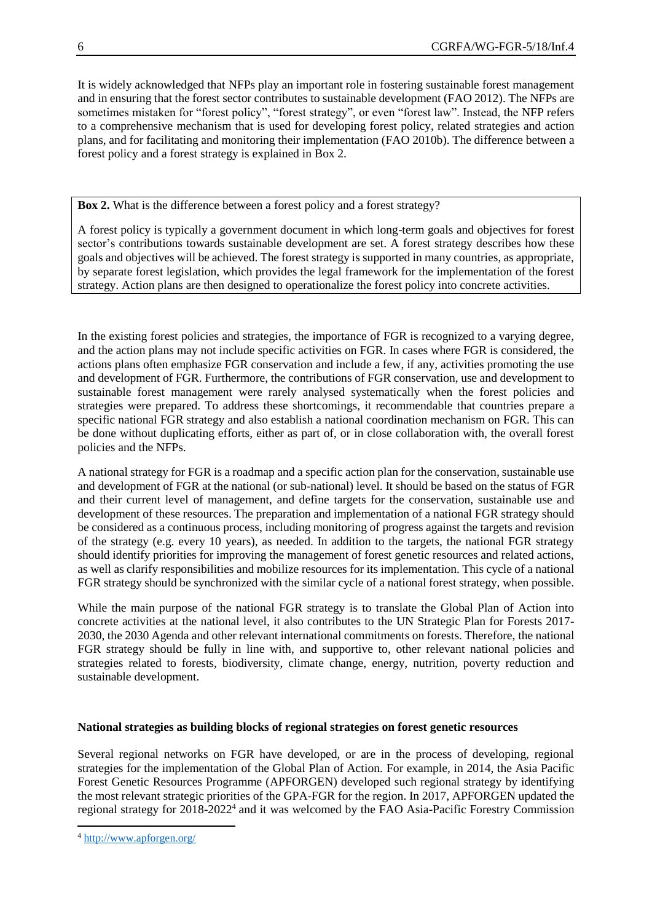It is widely acknowledged that NFPs play an important role in fostering sustainable forest management and in ensuring that the forest sector contributes to sustainable development (FAO 2012). The NFPs are sometimes mistaken for "forest policy", "forest strategy", or even "forest law". Instead, the NFP refers to a comprehensive mechanism that is used for developing forest policy, related strategies and action plans, and for facilitating and monitoring their implementation (FAO 2010b). The difference between a forest policy and a forest strategy is explained in Box 2.

**Box 2.** What is the difference between a forest policy and a forest strategy?

A forest policy is typically a government document in which long-term goals and objectives for forest sector's contributions towards sustainable development are set. A forest strategy describes how these goals and objectives will be achieved. The forest strategy is supported in many countries, as appropriate, by separate forest legislation, which provides the legal framework for the implementation of the forest strategy. Action plans are then designed to operationalize the forest policy into concrete activities.

In the existing forest policies and strategies, the importance of FGR is recognized to a varying degree, and the action plans may not include specific activities on FGR. In cases where FGR is considered, the actions plans often emphasize FGR conservation and include a few, if any, activities promoting the use and development of FGR. Furthermore, the contributions of FGR conservation, use and development to sustainable forest management were rarely analysed systematically when the forest policies and strategies were prepared. To address these shortcomings, it recommendable that countries prepare a specific national FGR strategy and also establish a national coordination mechanism on FGR. This can be done without duplicating efforts, either as part of, or in close collaboration with, the overall forest policies and the NFPs.

A national strategy for FGR is a roadmap and a specific action plan for the conservation, sustainable use and development of FGR at the national (or sub-national) level. It should be based on the status of FGR and their current level of management, and define targets for the conservation, sustainable use and development of these resources. The preparation and implementation of a national FGR strategy should be considered as a continuous process, including monitoring of progress against the targets and revision of the strategy (e.g. every 10 years), as needed. In addition to the targets, the national FGR strategy should identify priorities for improving the management of forest genetic resources and related actions, as well as clarify responsibilities and mobilize resources for its implementation. This cycle of a national FGR strategy should be synchronized with the similar cycle of a national forest strategy, when possible.

While the main purpose of the national FGR strategy is to translate the Global Plan of Action into concrete activities at the national level, it also contributes to the UN Strategic Plan for Forests 2017- 2030, the 2030 Agenda and other relevant international commitments on forests. Therefore, the national FGR strategy should be fully in line with, and supportive to, other relevant national policies and strategies related to forests, biodiversity, climate change, energy, nutrition, poverty reduction and sustainable development.

### **National strategies as building blocks of regional strategies on forest genetic resources**

Several regional networks on FGR have developed, or are in the process of developing, regional strategies for the implementation of the Global Plan of Action. For example, in 2014, the Asia Pacific Forest Genetic Resources Programme (APFORGEN) developed such regional strategy by identifying the most relevant strategic priorities of the GPA-FGR for the region. In 2017, APFORGEN updated the regional strategy for 2018-2022<sup>4</sup> and it was welcomed by the FAO Asia-Pacific Forestry Commission

 $\overline{a}$ 

<sup>4</sup> <http://www.apforgen.org/>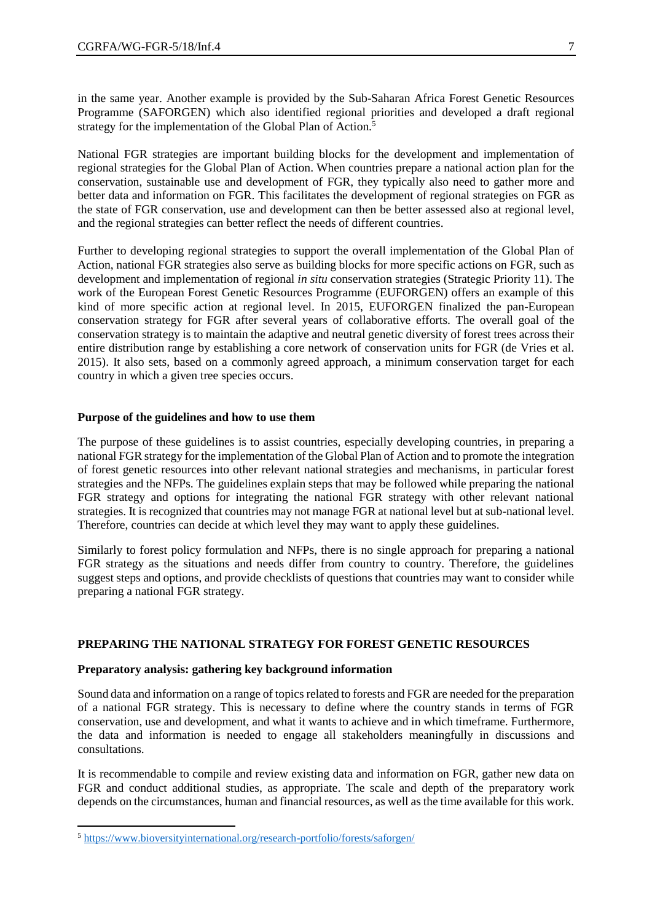in the same year. Another example is provided by the Sub-Saharan Africa Forest Genetic Resources Programme (SAFORGEN) which also identified regional priorities and developed a draft regional strategy for the implementation of the Global Plan of Action.<sup>5</sup>

National FGR strategies are important building blocks for the development and implementation of regional strategies for the Global Plan of Action. When countries prepare a national action plan for the conservation, sustainable use and development of FGR, they typically also need to gather more and better data and information on FGR. This facilitates the development of regional strategies on FGR as the state of FGR conservation, use and development can then be better assessed also at regional level, and the regional strategies can better reflect the needs of different countries.

Further to developing regional strategies to support the overall implementation of the Global Plan of Action, national FGR strategies also serve as building blocks for more specific actions on FGR, such as development and implementation of regional *in situ* conservation strategies (Strategic Priority 11). The work of the European Forest Genetic Resources Programme (EUFORGEN) offers an example of this kind of more specific action at regional level. In 2015, EUFORGEN finalized the pan-European conservation strategy for FGR after several years of collaborative efforts. The overall goal of the conservation strategy is to maintain the adaptive and neutral genetic diversity of forest trees across their entire distribution range by establishing a core network of conservation units for FGR (de Vries et al. 2015). It also sets, based on a commonly agreed approach, a minimum conservation target for each country in which a given tree species occurs.

#### **Purpose of the guidelines and how to use them**

The purpose of these guidelines is to assist countries, especially developing countries, in preparing a national FGR strategy for the implementation of the Global Plan of Action and to promote the integration of forest genetic resources into other relevant national strategies and mechanisms, in particular forest strategies and the NFPs. The guidelines explain steps that may be followed while preparing the national FGR strategy and options for integrating the national FGR strategy with other relevant national strategies. It is recognized that countries may not manage FGR at national level but at sub-national level. Therefore, countries can decide at which level they may want to apply these guidelines.

Similarly to forest policy formulation and NFPs, there is no single approach for preparing a national FGR strategy as the situations and needs differ from country to country. Therefore, the guidelines suggest steps and options, and provide checklists of questions that countries may want to consider while preparing a national FGR strategy.

#### **PREPARING THE NATIONAL STRATEGY FOR FOREST GENETIC RESOURCES**

#### **Preparatory analysis: gathering key background information**

Sound data and information on a range of topics related to forests and FGR are needed for the preparation of a national FGR strategy. This is necessary to define where the country stands in terms of FGR conservation, use and development, and what it wants to achieve and in which timeframe. Furthermore, the data and information is needed to engage all stakeholders meaningfully in discussions and consultations.

It is recommendable to compile and review existing data and information on FGR, gather new data on FGR and conduct additional studies, as appropriate. The scale and depth of the preparatory work depends on the circumstances, human and financial resources, as well as the time available for this work.

 $\overline{a}$ 

<sup>5</sup> <https://www.bioversityinternational.org/research-portfolio/forests/saforgen/>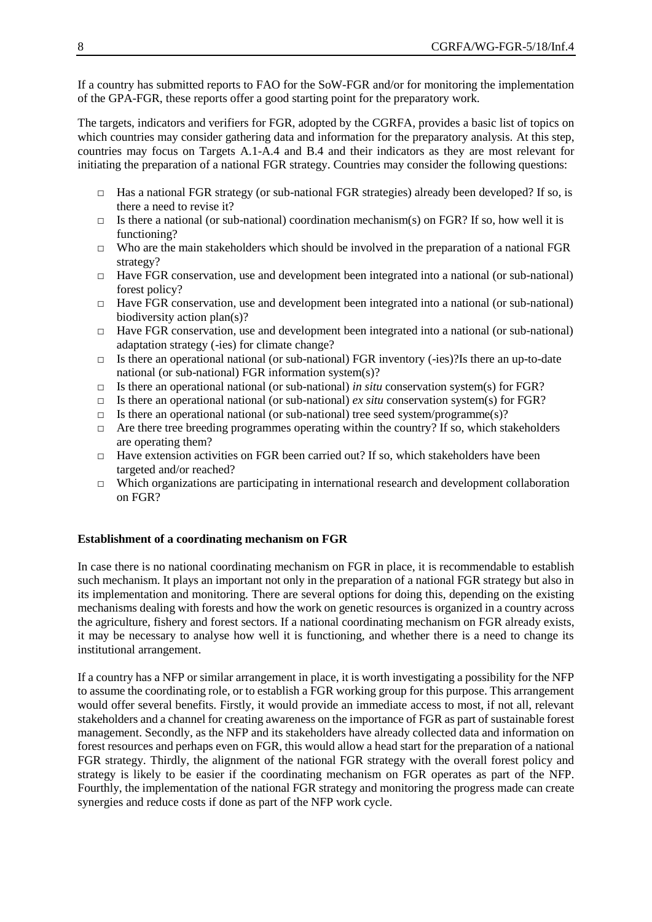If a country has submitted reports to FAO for the SoW-FGR and/or for monitoring the implementation of the GPA-FGR, these reports offer a good starting point for the preparatory work.

The targets, indicators and verifiers for FGR, adopted by the CGRFA, provides a basic list of topics on which countries may consider gathering data and information for the preparatory analysis. At this step, countries may focus on Targets A.1-A.4 and B.4 and their indicators as they are most relevant for initiating the preparation of a national FGR strategy. Countries may consider the following questions:

- □ Has a national FGR strategy (or sub-national FGR strategies) already been developed? If so, is there a need to revise it?
- $\Box$  Is there a national (or sub-national) coordination mechanism(s) on FGR? If so, how well it is functioning?
- $\Box$  Who are the main stakeholders which should be involved in the preparation of a national FGR strategy?
- $\Box$  Have FGR conservation, use and development been integrated into a national (or sub-national) forest policy?
- $\Box$  Have FGR conservation, use and development been integrated into a national (or sub-national) biodiversity action plan(s)?
- $\Box$  Have FGR conservation, use and development been integrated into a national (or sub-national) adaptation strategy (-ies) for climate change?
- $\Box$  Is there an operational national (or sub-national) FGR inventory (-ies)?Is there an up-to-date national (or sub-national) FGR information system(s)?
- □ Is there an operational national (or sub-national) *in situ* conservation system(s) for FGR?
- $\Box$  Is there an operational national (or sub-national) *ex situ* conservation system(s) for FGR?
- $\Box$  Is there an operational national (or sub-national) tree seed system/programme(s)?
- $\Box$  Are there tree breeding programmes operating within the country? If so, which stakeholders are operating them?
- $\Box$  Have extension activities on FGR been carried out? If so, which stakeholders have been targeted and/or reached?
- $\Box$  Which organizations are participating in international research and development collaboration on FGR?

#### **Establishment of a coordinating mechanism on FGR**

In case there is no national coordinating mechanism on FGR in place, it is recommendable to establish such mechanism. It plays an important not only in the preparation of a national FGR strategy but also in its implementation and monitoring. There are several options for doing this, depending on the existing mechanisms dealing with forests and how the work on genetic resources is organized in a country across the agriculture, fishery and forest sectors. If a national coordinating mechanism on FGR already exists, it may be necessary to analyse how well it is functioning, and whether there is a need to change its institutional arrangement.

If a country has a NFP or similar arrangement in place, it is worth investigating a possibility for the NFP to assume the coordinating role, or to establish a FGR working group for this purpose. This arrangement would offer several benefits. Firstly, it would provide an immediate access to most, if not all, relevant stakeholders and a channel for creating awareness on the importance of FGR as part of sustainable forest management. Secondly, as the NFP and its stakeholders have already collected data and information on forest resources and perhaps even on FGR, this would allow a head start for the preparation of a national FGR strategy. Thirdly, the alignment of the national FGR strategy with the overall forest policy and strategy is likely to be easier if the coordinating mechanism on FGR operates as part of the NFP. Fourthly, the implementation of the national FGR strategy and monitoring the progress made can create synergies and reduce costs if done as part of the NFP work cycle.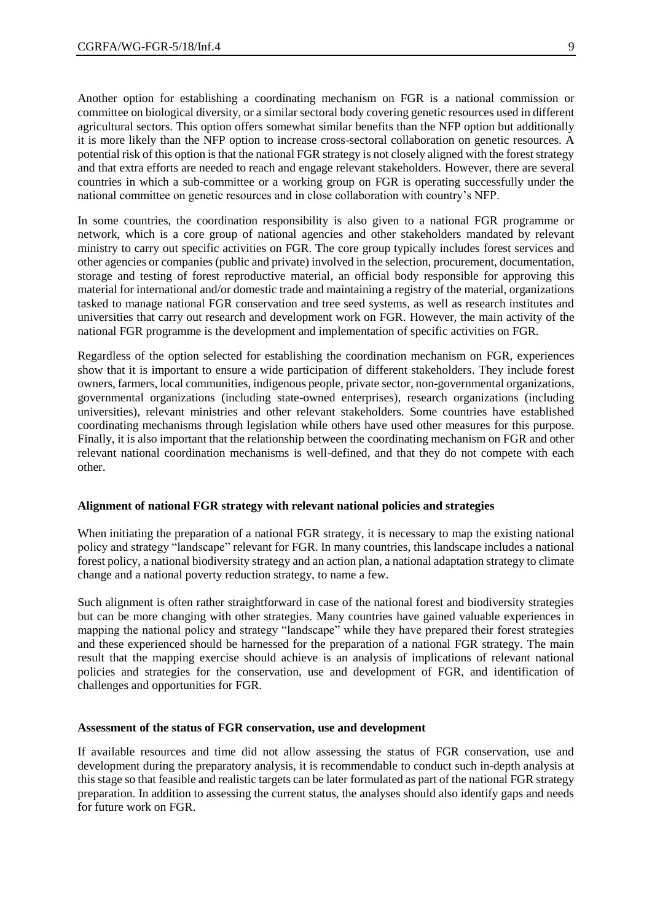Another option for establishing a coordinating mechanism on FGR is a national commission or committee on biological diversity, or a similar sectoral body covering genetic resources used in different agricultural sectors. This option offers somewhat similar benefits than the NFP option but additionally it is more likely than the NFP option to increase cross-sectoral collaboration on genetic resources. A potential risk of this option is that the national FGR strategy is not closely aligned with the forest strategy and that extra efforts are needed to reach and engage relevant stakeholders. However, there are several countries in which a sub-committee or a working group on FGR is operating successfully under the national committee on genetic resources and in close collaboration with country's NFP.

In some countries, the coordination responsibility is also given to a national FGR programme or network, which is a core group of national agencies and other stakeholders mandated by relevant ministry to carry out specific activities on FGR. The core group typically includes forest services and other agencies or companies (public and private) involved in the selection, procurement, documentation, storage and testing of forest reproductive material, an official body responsible for approving this material for international and/or domestic trade and maintaining a registry of the material, organizations tasked to manage national FGR conservation and tree seed systems, as well as research institutes and universities that carry out research and development work on FGR. However, the main activity of the national FGR programme is the development and implementation of specific activities on FGR.

Regardless of the option selected for establishing the coordination mechanism on FGR, experiences show that it is important to ensure a wide participation of different stakeholders. They include forest owners, farmers, local communities, indigenous people, private sector, non-governmental organizations, governmental organizations (including state-owned enterprises), research organizations (including universities), relevant ministries and other relevant stakeholders. Some countries have established coordinating mechanisms through legislation while others have used other measures for this purpose. Finally, it is also important that the relationship between the coordinating mechanism on FGR and other relevant national coordination mechanisms is well-defined, and that they do not compete with each other.

#### **Alignment of national FGR strategy with relevant national policies and strategies**

When initiating the preparation of a national FGR strategy, it is necessary to map the existing national policy and strategy "landscape" relevant for FGR. In many countries, this landscape includes a national forest policy, a national biodiversity strategy and an action plan, a national adaptation strategy to climate change and a national poverty reduction strategy, to name a few.

Such alignment is often rather straightforward in case of the national forest and biodiversity strategies but can be more changing with other strategies. Many countries have gained valuable experiences in mapping the national policy and strategy "landscape" while they have prepared their forest strategies and these experienced should be harnessed for the preparation of a national FGR strategy. The main result that the mapping exercise should achieve is an analysis of implications of relevant national policies and strategies for the conservation, use and development of FGR, and identification of challenges and opportunities for FGR.

#### **Assessment of the status of FGR conservation, use and development**

If available resources and time did not allow assessing the status of FGR conservation, use and development during the preparatory analysis, it is recommendable to conduct such in-depth analysis at this stage so that feasible and realistic targets can be later formulated as part of the national FGR strategy preparation. In addition to assessing the current status, the analyses should also identify gaps and needs for future work on FGR.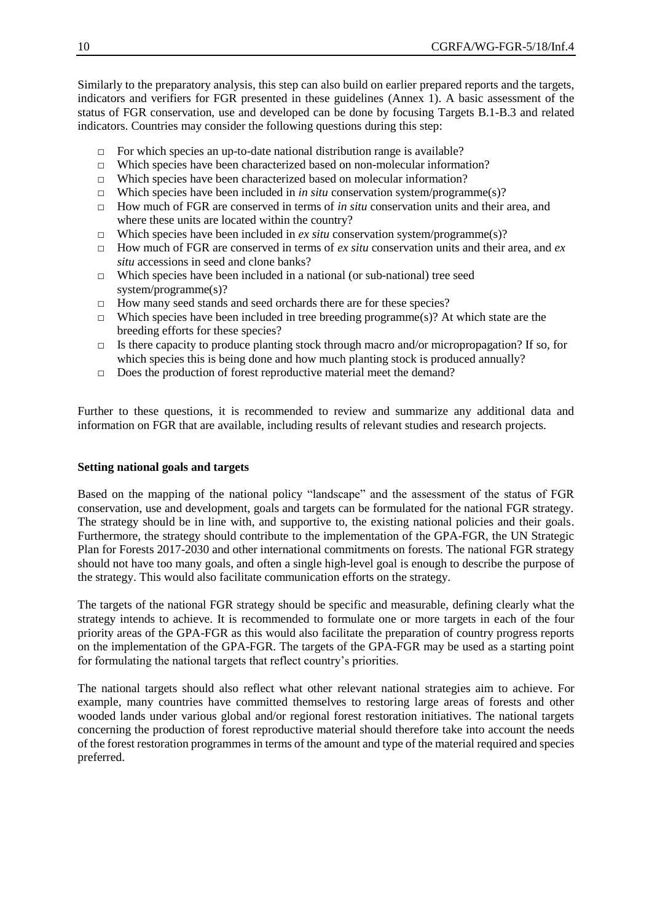Similarly to the preparatory analysis, this step can also build on earlier prepared reports and the targets, indicators and verifiers for FGR presented in these guidelines (Annex 1). A basic assessment of the status of FGR conservation, use and developed can be done by focusing Targets B.1-B.3 and related indicators. Countries may consider the following questions during this step:

- $\Box$  For which species an up-to-date national distribution range is available?
- □ Which species have been characterized based on non-molecular information?
- □ Which species have been characterized based on molecular information?
- □ Which species have been included in *in situ* conservation system/programme(s)?
- □ How much of FGR are conserved in terms of *in situ* conservation units and their area, and where these units are located within the country?
- $\Box$  Which species have been included in *ex situ* conservation system/programme(s)?
- $\Box$  How much of FGR are conserved in terms of *ex situ* conservation units and their area, and *ex situ* accessions in seed and clone banks?
- $\Box$  Which species have been included in a national (or sub-national) tree seed system/programme(s)?
- □ How many seed stands and seed orchards there are for these species?
- $\Box$  Which species have been included in tree breeding programme(s)? At which state are the breeding efforts for these species?
- $\Box$  Is there capacity to produce planting stock through macro and/or micropropagation? If so, for which species this is being done and how much planting stock is produced annually?
- □ Does the production of forest reproductive material meet the demand?

Further to these questions, it is recommended to review and summarize any additional data and information on FGR that are available, including results of relevant studies and research projects.

#### **Setting national goals and targets**

Based on the mapping of the national policy "landscape" and the assessment of the status of FGR conservation, use and development, goals and targets can be formulated for the national FGR strategy. The strategy should be in line with, and supportive to, the existing national policies and their goals. Furthermore, the strategy should contribute to the implementation of the GPA-FGR, the UN Strategic Plan for Forests 2017-2030 and other international commitments on forests. The national FGR strategy should not have too many goals, and often a single high-level goal is enough to describe the purpose of the strategy. This would also facilitate communication efforts on the strategy.

The targets of the national FGR strategy should be specific and measurable, defining clearly what the strategy intends to achieve. It is recommended to formulate one or more targets in each of the four priority areas of the GPA-FGR as this would also facilitate the preparation of country progress reports on the implementation of the GPA-FGR. The targets of the GPA-FGR may be used as a starting point for formulating the national targets that reflect country's priorities.

The national targets should also reflect what other relevant national strategies aim to achieve. For example, many countries have committed themselves to restoring large areas of forests and other wooded lands under various global and/or regional forest restoration initiatives. The national targets concerning the production of forest reproductive material should therefore take into account the needs of the forest restoration programmes in terms of the amount and type of the material required and species preferred.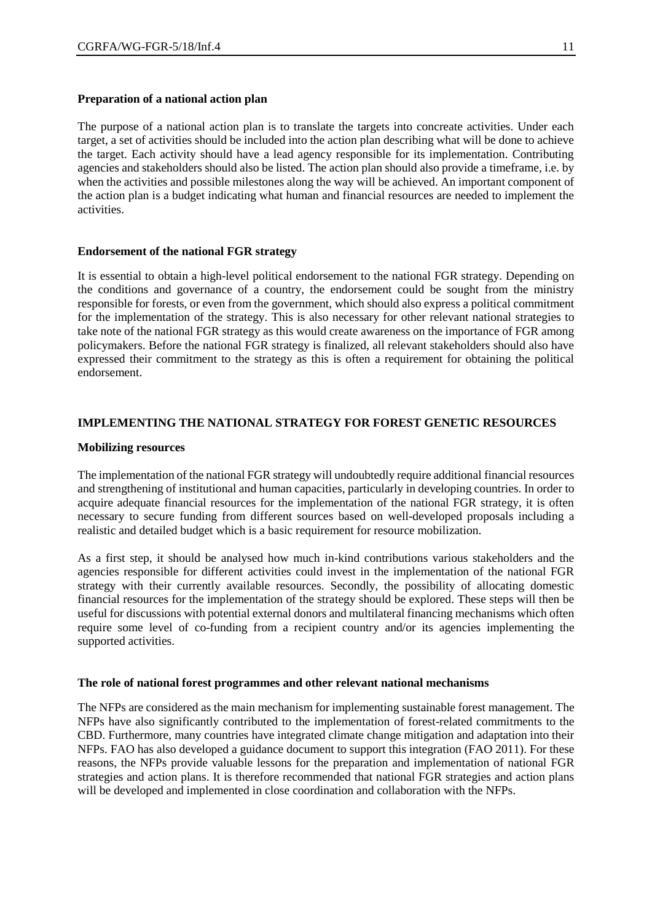#### **Preparation of a national action plan**

The purpose of a national action plan is to translate the targets into concreate activities. Under each target, a set of activities should be included into the action plan describing what will be done to achieve the target. Each activity should have a lead agency responsible for its implementation. Contributing agencies and stakeholders should also be listed. The action plan should also provide a timeframe, i.e. by when the activities and possible milestones along the way will be achieved. An important component of the action plan is a budget indicating what human and financial resources are needed to implement the activities.

#### **Endorsement of the national FGR strategy**

It is essential to obtain a high-level political endorsement to the national FGR strategy. Depending on the conditions and governance of a country, the endorsement could be sought from the ministry responsible for forests, or even from the government, which should also express a political commitment for the implementation of the strategy. This is also necessary for other relevant national strategies to take note of the national FGR strategy as this would create awareness on the importance of FGR among policymakers. Before the national FGR strategy is finalized, all relevant stakeholders should also have expressed their commitment to the strategy as this is often a requirement for obtaining the political endorsement.

#### **IMPLEMENTING THE NATIONAL STRATEGY FOR FOREST GENETIC RESOURCES**

#### **Mobilizing resources**

The implementation of the national FGR strategy will undoubtedly require additional financial resources and strengthening of institutional and human capacities, particularly in developing countries. In order to acquire adequate financial resources for the implementation of the national FGR strategy, it is often necessary to secure funding from different sources based on well-developed proposals including a realistic and detailed budget which is a basic requirement for resource mobilization.

As a first step, it should be analysed how much in-kind contributions various stakeholders and the agencies responsible for different activities could invest in the implementation of the national FGR strategy with their currently available resources. Secondly, the possibility of allocating domestic financial resources for the implementation of the strategy should be explored. These steps will then be useful for discussions with potential external donors and multilateral financing mechanisms which often require some level of co-funding from a recipient country and/or its agencies implementing the supported activities.

#### **The role of national forest programmes and other relevant national mechanisms**

The NFPs are considered as the main mechanism for implementing sustainable forest management. The NFPs have also significantly contributed to the implementation of forest-related commitments to the CBD. Furthermore, many countries have integrated climate change mitigation and adaptation into their NFPs. FAO has also developed a guidance document to support this integration (FAO 2011). For these reasons, the NFPs provide valuable lessons for the preparation and implementation of national FGR strategies and action plans. It is therefore recommended that national FGR strategies and action plans will be developed and implemented in close coordination and collaboration with the NFPs.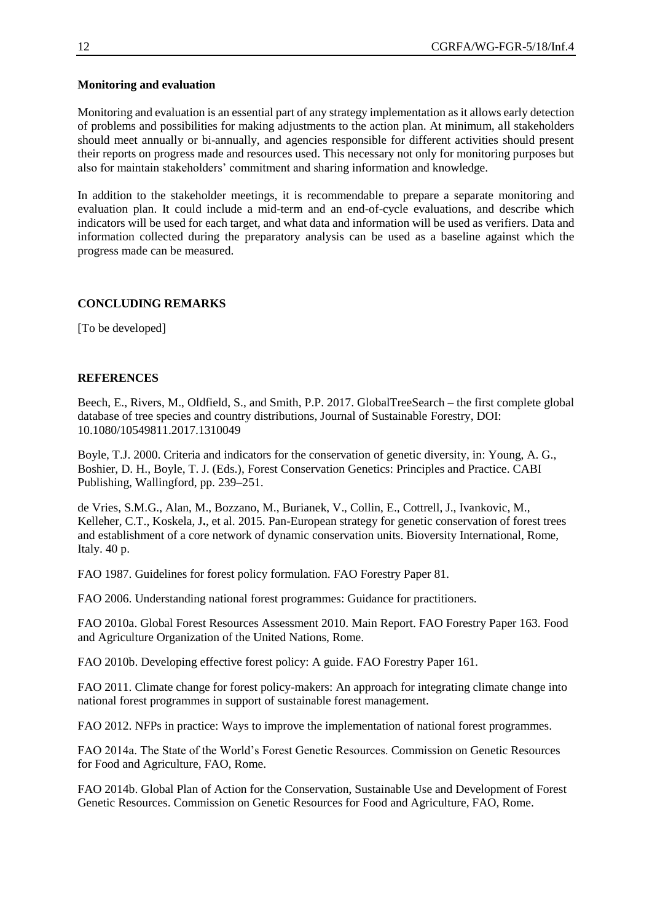#### **Monitoring and evaluation**

Monitoring and evaluation is an essential part of any strategy implementation as it allows early detection of problems and possibilities for making adjustments to the action plan. At minimum, all stakeholders should meet annually or bi-annually, and agencies responsible for different activities should present their reports on progress made and resources used. This necessary not only for monitoring purposes but also for maintain stakeholders' commitment and sharing information and knowledge.

In addition to the stakeholder meetings, it is recommendable to prepare a separate monitoring and evaluation plan. It could include a mid-term and an end-of-cycle evaluations, and describe which indicators will be used for each target, and what data and information will be used as verifiers. Data and information collected during the preparatory analysis can be used as a baseline against which the progress made can be measured.

#### **CONCLUDING REMARKS**

[To be developed]

#### **REFERENCES**

Beech, E., Rivers, M., Oldfield, S., and Smith, P.P. 2017. GlobalTreeSearch – the first complete global database of tree species and country distributions, Journal of Sustainable Forestry, DOI: 10.1080/10549811.2017.1310049

Boyle, T.J. 2000. Criteria and indicators for the conservation of genetic diversity, in: Young, A. G., Boshier, D. H., Boyle, T. J. (Eds.), Forest Conservation Genetics: Principles and Practice. CABI Publishing, Wallingford, pp. 239–251.

de Vries, S.M.G., Alan, M., Bozzano, M., Burianek, V., Collin, E., Cottrell, J., Ivankovic, M., Kelleher, C.T., Koskela, J**.**, et al. 2015. Pan-European strategy for genetic conservation of forest trees and establishment of a core network of dynamic conservation units. Bioversity International, Rome, Italy. 40 p.

FAO 1987. Guidelines for forest policy formulation. FAO Forestry Paper 81.

FAO 2006. Understanding national forest programmes: Guidance for practitioners.

FAO 2010a. Global Forest Resources Assessment 2010. Main Report. FAO Forestry Paper 163. Food and Agriculture Organization of the United Nations, Rome.

FAO 2010b. Developing effective forest policy: A guide. FAO Forestry Paper 161.

FAO 2011. Climate change for forest policy-makers: An approach for integrating climate change into national forest programmes in support of sustainable forest management.

FAO 2012. NFPs in practice: Ways to improve the implementation of national forest programmes.

FAO 2014a. The State of the World's Forest Genetic Resources. Commission on Genetic Resources for Food and Agriculture, FAO, Rome.

FAO 2014b. Global Plan of Action for the Conservation, Sustainable Use and Development of Forest Genetic Resources. Commission on Genetic Resources for Food and Agriculture, FAO, Rome.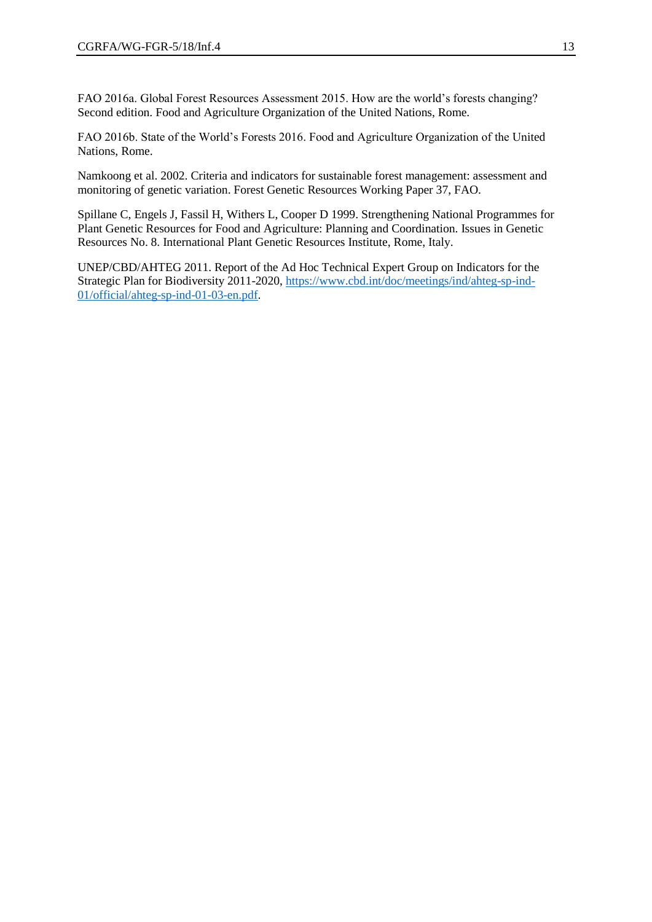FAO 2016a. Global Forest Resources Assessment 2015. How are the world's forests changing? Second edition. Food and Agriculture Organization of the United Nations, Rome.

FAO 2016b. State of the World's Forests 2016. Food and Agriculture Organization of the United Nations, Rome.

Namkoong et al. 2002. Criteria and indicators for sustainable forest management: assessment and monitoring of genetic variation. Forest Genetic Resources Working Paper 37, FAO.

Spillane C, Engels J, Fassil H, Withers L, Cooper D 1999. Strengthening National Programmes for Plant Genetic Resources for Food and Agriculture: Planning and Coordination. Issues in Genetic Resources No. 8. International Plant Genetic Resources Institute, Rome, Italy.

UNEP/CBD/AHTEG 2011. Report of the Ad Hoc Technical Expert Group on Indicators for the Strategic Plan for Biodiversity 2011-2020, [https://www.cbd.int/doc/meetings/ind/ahteg-sp-ind-](https://www.cbd.int/doc/meetings/ind/ahteg-sp-ind-01/official/ahteg-sp-ind-01-03-en.pdf)[01/official/ahteg-sp-ind-01-03-en.pdf.](https://www.cbd.int/doc/meetings/ind/ahteg-sp-ind-01/official/ahteg-sp-ind-01-03-en.pdf)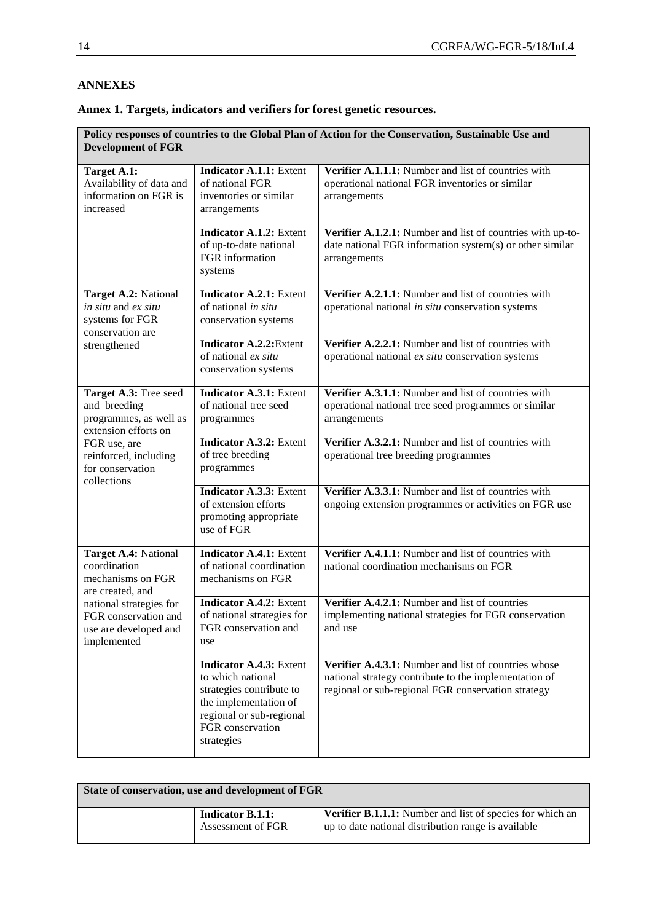## **ANNEXES**

| Annex 1. Targets, indicators and verifiers for forest genetic resources. |  |  |
|--------------------------------------------------------------------------|--|--|
|                                                                          |  |  |

| Policy responses of countries to the Global Plan of Action for the Conservation, Sustainable Use and<br><b>Development of FGR</b> |                                                                                                                                                                        |                                                                                                                                                                     |  |
|-----------------------------------------------------------------------------------------------------------------------------------|------------------------------------------------------------------------------------------------------------------------------------------------------------------------|---------------------------------------------------------------------------------------------------------------------------------------------------------------------|--|
| Target A.1:<br>Availability of data and<br>information on FGR is<br>increased                                                     | <b>Indicator A.1.1: Extent</b><br>of national FGR<br>inventories or similar<br>arrangements                                                                            | Verifier A.1.1.1: Number and list of countries with<br>operational national FGR inventories or similar<br>arrangements                                              |  |
|                                                                                                                                   | <b>Indicator A.1.2: Extent</b><br>of up-to-date national<br>FGR information<br>systems                                                                                 | Verifier A.1.2.1: Number and list of countries with up-to-<br>date national FGR information system(s) or other similar<br>arrangements                              |  |
| Target A.2: National<br>in situ and ex situ<br>systems for FGR<br>conservation are                                                | <b>Indicator A.2.1: Extent</b><br>of national in situ<br>conservation systems                                                                                          | Verifier A.2.1.1: Number and list of countries with<br>operational national in situ conservation systems                                                            |  |
| strengthened                                                                                                                      | <b>Indicator A.2.2:</b> Extent<br>of national ex situ<br>conservation systems                                                                                          | Verifier A.2.2.1: Number and list of countries with<br>operational national ex situ conservation systems                                                            |  |
| Target A.3: Tree seed<br>and breeding<br>programmes, as well as<br>extension efforts on                                           | <b>Indicator A.3.1: Extent</b><br>of national tree seed<br>programmes                                                                                                  | Verifier A.3.1.1: Number and list of countries with<br>operational national tree seed programmes or similar<br>arrangements                                         |  |
| FGR use, are<br>reinforced, including<br>for conservation<br>collections                                                          | <b>Indicator A.3.2: Extent</b><br>of tree breeding<br>programmes                                                                                                       | Verifier A.3.2.1: Number and list of countries with<br>operational tree breeding programmes                                                                         |  |
|                                                                                                                                   | <b>Indicator A.3.3: Extent</b><br>of extension efforts<br>promoting appropriate<br>use of FGR                                                                          | Verifier A.3.3.1: Number and list of countries with<br>ongoing extension programmes or activities on FGR use                                                        |  |
| Target A.4: National<br>coordination<br>mechanisms on FGR<br>are created, and                                                     | <b>Indicator A.4.1: Extent</b><br>of national coordination<br>mechanisms on FGR                                                                                        | Verifier A.4.1.1: Number and list of countries with<br>national coordination mechanisms on FGR                                                                      |  |
| national strategies for<br>FGR conservation and<br>use are developed and<br>implemented                                           | <b>Indicator A.4.2: Extent</b><br>of national strategies for<br>FGR conservation and<br>use                                                                            | Verifier A.4.2.1: Number and list of countries<br>implementing national strategies for FGR conservation<br>and use                                                  |  |
|                                                                                                                                   | <b>Indicator A.4.3: Extent</b><br>to which national<br>strategies contribute to<br>the implementation of<br>regional or sub-regional<br>FGR conservation<br>strategies | Verifier A.4.3.1: Number and list of countries whose<br>national strategy contribute to the implementation of<br>regional or sub-regional FGR conservation strategy |  |

| State of conservation, use and development of FGR |                                              |                                                                                                                  |  |
|---------------------------------------------------|----------------------------------------------|------------------------------------------------------------------------------------------------------------------|--|
|                                                   | <b>Indicator B.1.1:</b><br>Assessment of FGR | Verifier B.1.1.1: Number and list of species for which an<br>up to date national distribution range is available |  |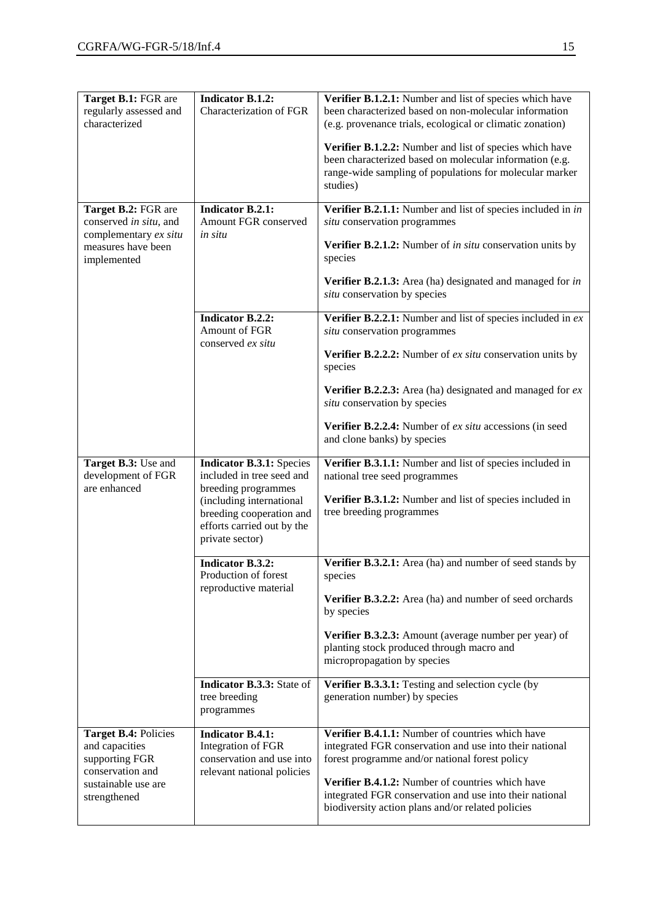| Target B.1: FGR are<br>regularly assessed and<br>characterized                                                      | <b>Indicator B.1.2:</b><br>Characterization of FGR                                                                                                                                           | Verifier B.1.2.1: Number and list of species which have<br>been characterized based on non-molecular information<br>(e.g. provenance trials, ecological or climatic zonation)<br>Verifier B.1.2.2: Number and list of species which have<br>been characterized based on molecular information (e.g.<br>range-wide sampling of populations for molecular marker<br>studies) |
|---------------------------------------------------------------------------------------------------------------------|----------------------------------------------------------------------------------------------------------------------------------------------------------------------------------------------|----------------------------------------------------------------------------------------------------------------------------------------------------------------------------------------------------------------------------------------------------------------------------------------------------------------------------------------------------------------------------|
| Target B.2: FGR are<br>conserved in situ, and<br>complementary ex situ<br>measures have been<br>implemented         | <b>Indicator B.2.1:</b><br>Amount FGR conserved<br>in situ                                                                                                                                   | Verifier B.2.1.1: Number and list of species included in in<br>situ conservation programmes<br>Verifier B.2.1.2: Number of <i>in situ</i> conservation units by<br>species<br>Verifier B.2.1.3: Area (ha) designated and managed for in<br>situ conservation by species                                                                                                    |
|                                                                                                                     | <b>Indicator B.2.2:</b><br>Amount of FGR<br>conserved ex situ                                                                                                                                | Verifier B.2.2.1: Number and list of species included in $ex$<br>situ conservation programmes<br>Verifier B.2.2.2: Number of ex situ conservation units by<br>species<br>Verifier B.2.2.3: Area (ha) designated and managed for $ex$<br>situ conservation by species<br>Verifier B.2.2.4: Number of ex situ accessions (in seed<br>and clone banks) by species             |
| Target B.3: Use and<br>development of FGR<br>are enhanced                                                           | <b>Indicator B.3.1: Species</b><br>included in tree seed and<br>breeding programmes<br>(including international<br>breeding cooperation and<br>efforts carried out by the<br>private sector) | Verifier B.3.1.1: Number and list of species included in<br>national tree seed programmes<br>Verifier B.3.1.2: Number and list of species included in<br>tree breeding programmes                                                                                                                                                                                          |
|                                                                                                                     | <b>Indicator B.3.2:</b><br>Production of forest<br>reproductive material<br>Indicator B.3.3: State of                                                                                        | Verifier B.3.2.1: Area (ha) and number of seed stands by<br>species<br>Verifier B.3.2.2: Area (ha) and number of seed orchards<br>by species<br>Verifier B.3.2.3: Amount (average number per year) of<br>planting stock produced through macro and<br>micropropagation by species<br>Verifier B.3.3.1: Testing and selection cycle (by                                     |
|                                                                                                                     | tree breeding<br>programmes                                                                                                                                                                  | generation number) by species                                                                                                                                                                                                                                                                                                                                              |
| Target B.4: Policies<br>and capacities<br>supporting FGR<br>conservation and<br>sustainable use are<br>strengthened | <b>Indicator B.4.1:</b><br>Integration of FGR<br>conservation and use into<br>relevant national policies                                                                                     | Verifier B.4.1.1: Number of countries which have<br>integrated FGR conservation and use into their national<br>forest programme and/or national forest policy<br>Verifier B.4.1.2: Number of countries which have<br>integrated FGR conservation and use into their national<br>biodiversity action plans and/or related policies                                          |